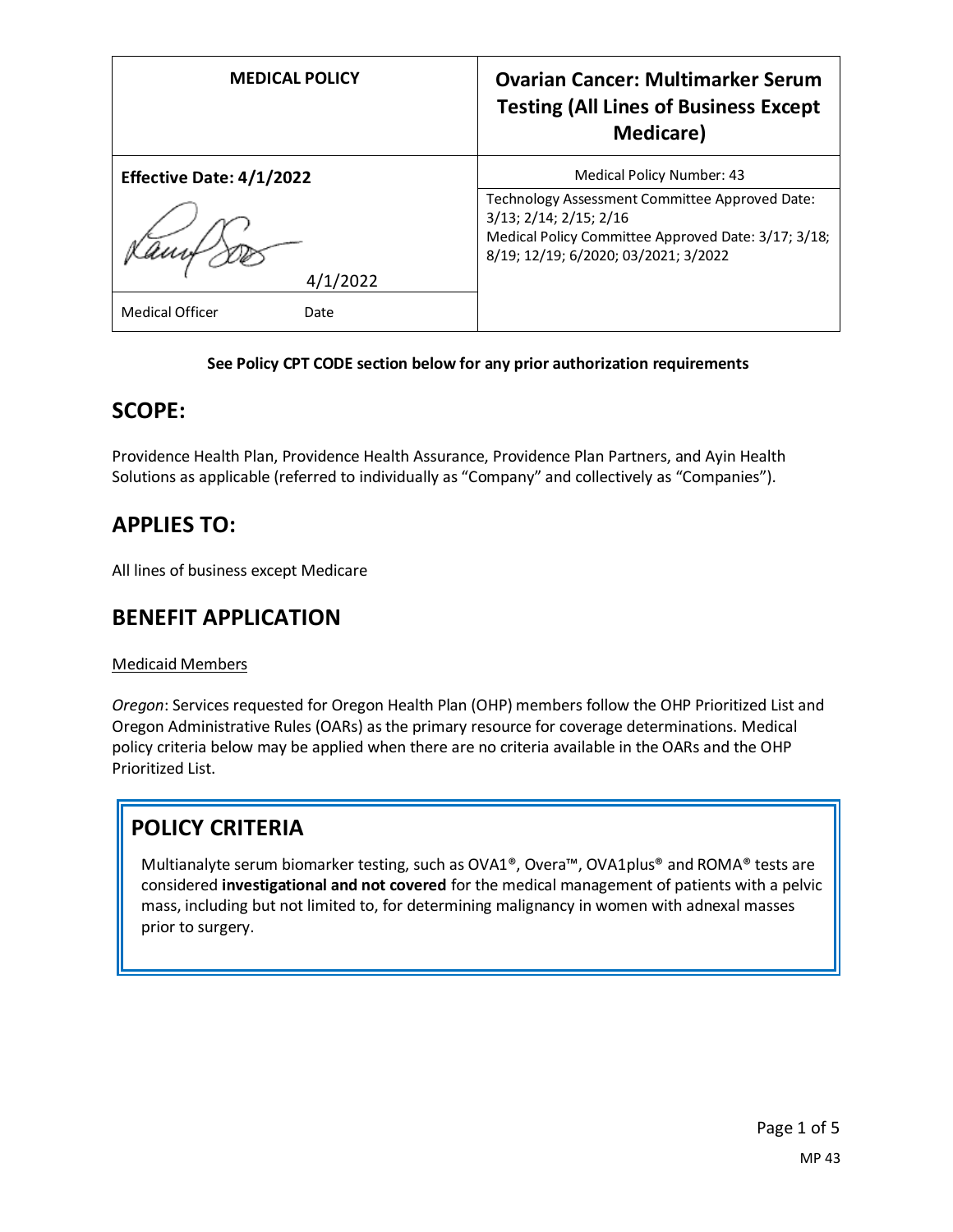| <b>MEDICAL POLICY</b>           | <b>Ovarian Cancer: Multimarker Serum</b><br><b>Testing (All Lines of Business Except</b><br><b>Medicare</b> ) |
|---------------------------------|---------------------------------------------------------------------------------------------------------------|
| <b>Effective Date: 4/1/2022</b> | <b>Medical Policy Number: 43</b>                                                                              |
|                                 | Technology Assessment Committee Approved Date:<br>3/13; 2/14; 2/15; 2/16                                      |
|                                 | Medical Policy Committee Approved Date: 3/17; 3/18;<br>8/19; 12/19; 6/2020; 03/2021; 3/2022                   |
| /2022                           |                                                                                                               |
| Medical Officer<br>Date         |                                                                                                               |

#### **See Policy CPT CODE section below for any prior authorization requirements**

## **SCOPE:**

Providence Health Plan, Providence Health Assurance, Providence Plan Partners, and Ayin Health Solutions as applicable (referred to individually as "Company" and collectively as "Companies").

## **APPLIES TO:**

All lines of business except Medicare

## **BENEFIT APPLICATION**

#### Medicaid Members

*Oregon*: Services requested for Oregon Health Plan (OHP) members follow the OHP Prioritized List and Oregon Administrative Rules (OARs) as the primary resource for coverage determinations. Medical policy criteria below may be applied when there are no criteria available in the OARs and the OHP Prioritized List.

# **POLICY CRITERIA**

Multianalyte serum biomarker testing, such as OVA1®, Overa™, OVA1plus® and ROMA® tests are considered **investigational and not covered** for the medical management of patients with a pelvic mass, including but not limited to, for determining malignancy in women with adnexal masses prior to surgery.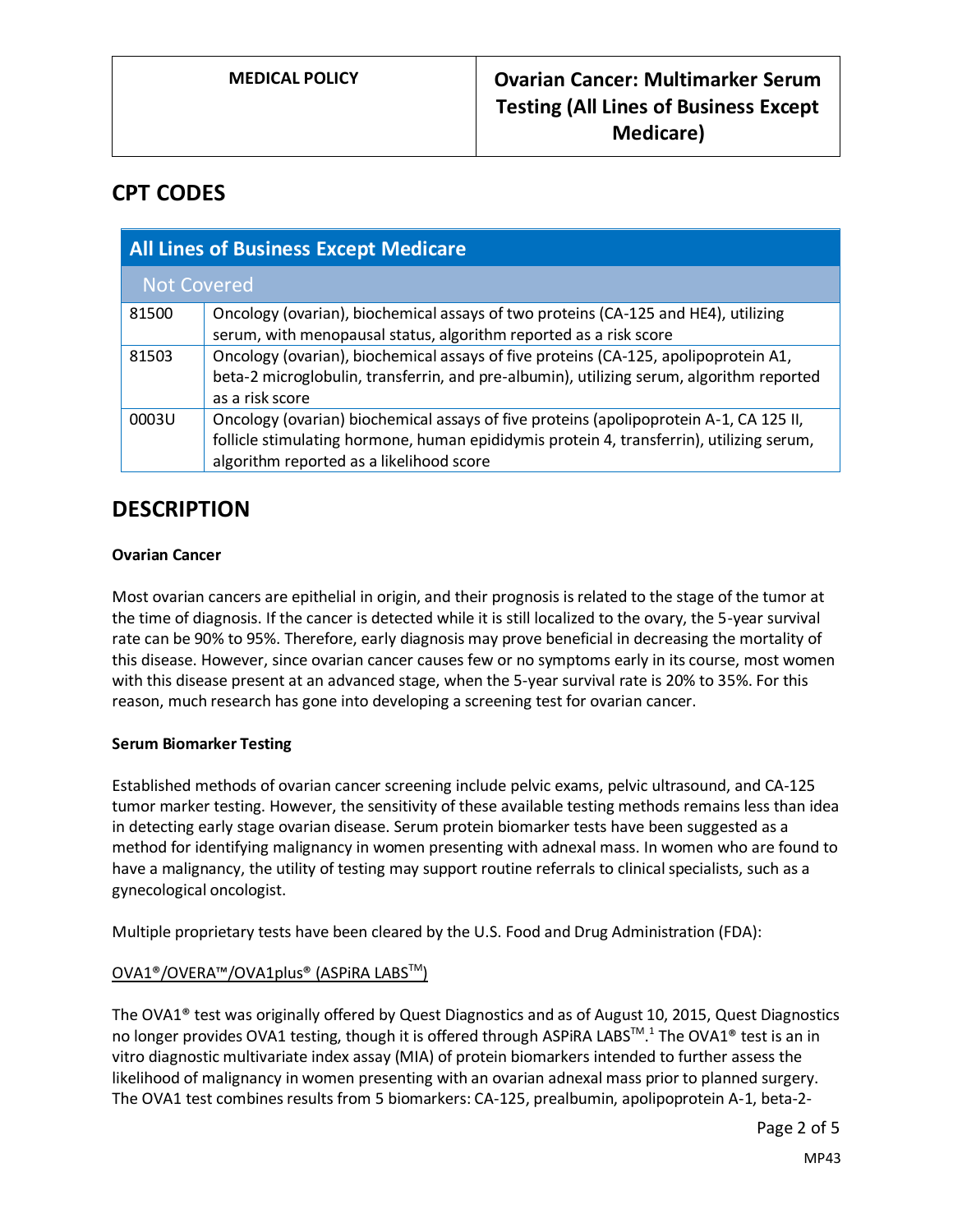## **CPT CODES**

| <b>All Lines of Business Except Medicare</b> |                                                                                                                                                                                                                                |
|----------------------------------------------|--------------------------------------------------------------------------------------------------------------------------------------------------------------------------------------------------------------------------------|
| <b>Not Covered</b>                           |                                                                                                                                                                                                                                |
| 81500                                        | Oncology (ovarian), biochemical assays of two proteins (CA-125 and HE4), utilizing<br>serum, with menopausal status, algorithm reported as a risk score                                                                        |
| 81503                                        | Oncology (ovarian), biochemical assays of five proteins (CA-125, apolipoprotein A1,<br>beta-2 microglobulin, transferrin, and pre-albumin), utilizing serum, algorithm reported<br>as a risk score                             |
| 0003U                                        | Oncology (ovarian) biochemical assays of five proteins (apolipoprotein A-1, CA 125 II,<br>follicle stimulating hormone, human epididymis protein 4, transferrin), utilizing serum,<br>algorithm reported as a likelihood score |

## **DESCRIPTION**

### **Ovarian Cancer**

Most ovarian cancers are epithelial in origin, and their prognosis is related to the stage of the tumor at the time of diagnosis. If the cancer is detected while it is still localized to the ovary, the 5-year survival rate can be 90% to 95%. Therefore, early diagnosis may prove beneficial in decreasing the mortality of this disease. However, since ovarian cancer causes few or no symptoms early in its course, most women with this disease present at an advanced stage, when the 5-year survival rate is 20% to 35%. For this reason, much research has gone into developing a screening test for ovarian cancer.

#### **Serum Biomarker Testing**

Established methods of ovarian cancer screening include pelvic exams, pelvic ultrasound, and CA-125 tumor marker testing. However, the sensitivity of these available testing methods remains less than idea in detecting early stage ovarian disease. Serum protein biomarker tests have been suggested as a method for identifying malignancy in women presenting with adnexal mass. In women who are found to have a malignancy, the utility of testing may support routine referrals to clinical specialists, such as a gynecological oncologist.

Multiple proprietary tests have been cleared by the U.S. Food and Drug Administration (FDA):

### OVA1®/OVERA™/OVA1plus® (ASPiRA LABSTM)

The OVA1® test was originally offered by Quest Diagnostics and as of August 10, 2015, Quest Diagnostics no longer provides OVA1 testing, though it is offered through ASPiRA LABS™.<sup>1</sup> The OVA1® test is an in vitro diagnostic multivariate index assay (MIA) of protein biomarkers intended to further assess the likelihood of malignancy in women presenting with an ovarian adnexal mass prior to planned surgery. The OVA1 test combines results from 5 biomarkers: CA-125, prealbumin, apolipoprotein A-1, beta-2-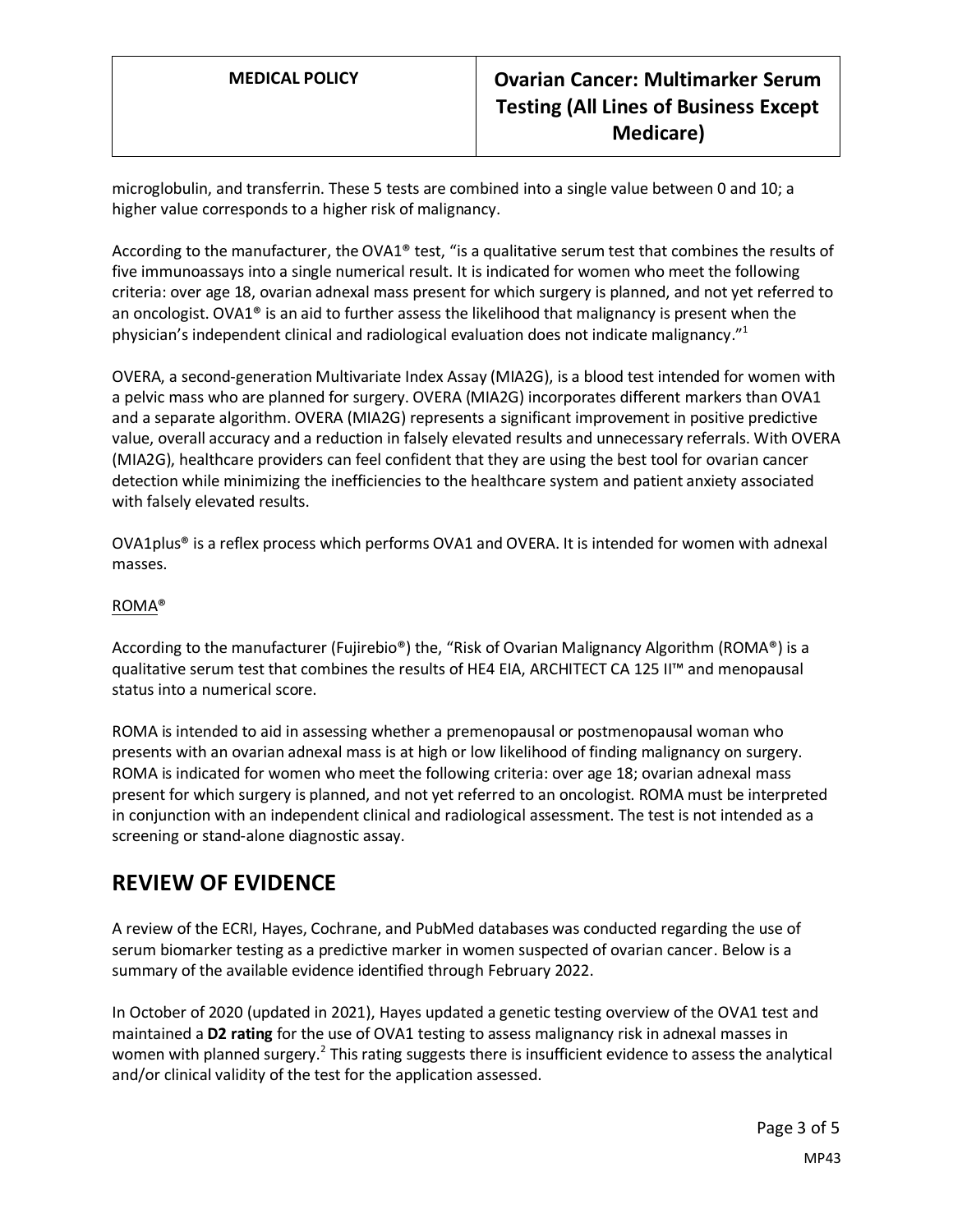## **MEDICAL POLICY Ovarian Cancer: Multimarker Serum Testing (All Lines of Business Except Medicare)**

microglobulin, and transferrin. These 5 tests are combined into a single value between 0 and 10; a higher value corresponds to a higher risk of malignancy.

According to the manufacturer, the OVA1® test, "is a qualitative serum test that combines the results of five immunoassays into a single numerical result. It is indicated for women who meet the following criteria: over age 18, ovarian adnexal mass present for which surgery is planned, and not yet referred to an oncologist. OVA1<sup>®</sup> is an aid to further assess the likelihood that malignancy is present when the physician's independent clinical and radiological evaluation does not indicate malignancy."<sup>1</sup>

OVERA, a second-generation Multivariate Index Assay (MIA2G), is a blood test intended for women with a pelvic mass who are planned for surgery. OVERA (MIA2G) incorporates different markers than OVA1 and a separate algorithm. OVERA (MIA2G) represents a significant improvement in positive predictive value, overall accuracy and a reduction in falsely elevated results and unnecessary referrals. With OVERA (MIA2G), healthcare providers can feel confident that they are using the best tool for ovarian cancer detection while minimizing the inefficiencies to the healthcare system and patient anxiety associated with falsely elevated results.

OVA1plus® is a reflex process which performs OVA1 and OVERA. It is intended for women with adnexal masses.

#### ROMA®

According to the manufacturer (Fujirebio®) the, "Risk of Ovarian Malignancy Algorithm (ROMA®) is a qualitative serum test that combines the results of HE4 EIA, ARCHITECT CA 125 II™ and menopausal status into a numerical score.

ROMA is intended to aid in assessing whether a premenopausal or postmenopausal woman who presents with an ovarian adnexal mass is at high or low likelihood of finding malignancy on surgery. ROMA is indicated for women who meet the following criteria: over age 18; ovarian adnexal mass present for which surgery is planned, and not yet referred to an oncologist. ROMA must be interpreted in conjunction with an independent clinical and radiological assessment. The test is not intended as a screening or stand-alone diagnostic assay.

## **REVIEW OF EVIDENCE**

A review of the ECRI, Hayes, Cochrane, and PubMed databases was conducted regarding the use of serum biomarker testing as a predictive marker in women suspected of ovarian cancer. Below is a summary of the available evidence identified through February 2022.

In October of 2020 (updated in 2021), Hayes updated a genetic testing overview of the OVA1 test and maintained a **D2 rating** for the use of OVA1 testing to assess malignancy risk in adnexal masses in women with planned surgery.<sup>2</sup> This rating suggests there is insufficient evidence to assess the analytical and/or clinical validity of the test for the application assessed.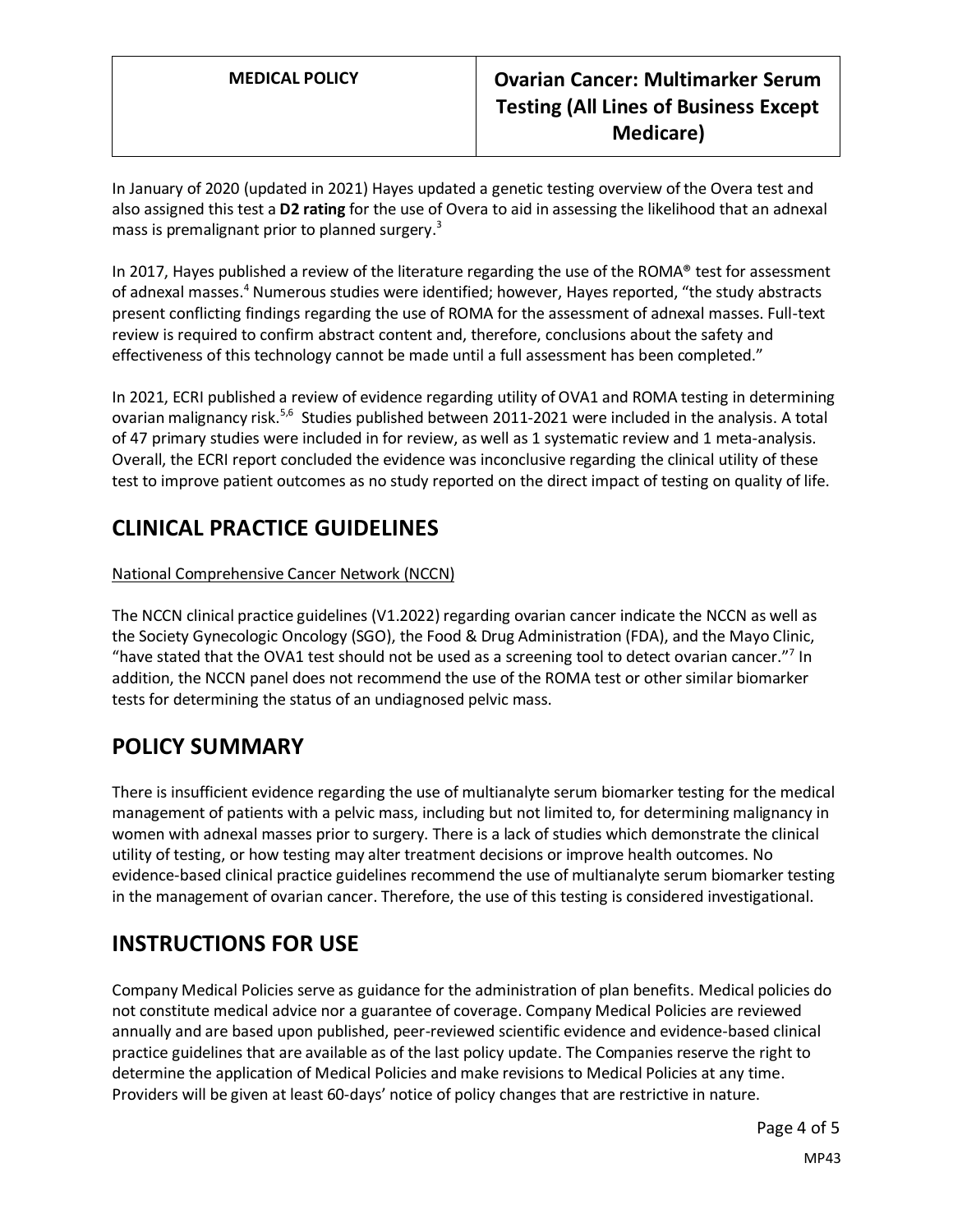## **MEDICAL POLICY Ovarian Cancer: Multimarker Serum Testing (All Lines of Business Except Medicare)**

In January of 2020 (updated in 2021) Hayes updated a genetic testing overview of the Overa test and also assigned this test a **D2 rating** for the use of Overa to aid in assessing the likelihood that an adnexal mass is premalignant prior to planned surgery.<sup>3</sup>

In 2017, Hayes published a review of the literature regarding the use of the ROMA® test for assessment of adnexal masses.<sup>4</sup> Numerous studies were identified; however, Hayes reported, "the study abstracts present conflicting findings regarding the use of ROMA for the assessment of adnexal masses. Full-text review is required to confirm abstract content and, therefore, conclusions about the safety and effectiveness of this technology cannot be made until a full assessment has been completed."

In 2021, ECRI published a review of evidence regarding utility of OVA1 and ROMA testing in determining ovarian malignancy risk.<sup>5,6</sup> Studies published between 2011-2021 were included in the analysis. A total of 47 primary studies were included in for review, as well as 1 systematic review and 1 meta-analysis. Overall, the ECRI report concluded the evidence was inconclusive regarding the clinical utility of these test to improve patient outcomes as no study reported on the direct impact of testing on quality of life.

## **CLINICAL PRACTICE GUIDELINES**

### National Comprehensive Cancer Network (NCCN)

The NCCN clinical practice guidelines (V1.2022) regarding ovarian cancer indicate the NCCN as well as the Society Gynecologic Oncology (SGO), the Food & Drug Administration (FDA), and the Mayo Clinic, "have stated that the OVA1 test should not be used as a screening tool to detect ovarian cancer."<sup>7</sup> In addition, the NCCN panel does not recommend the use of the ROMA test or other similar biomarker tests for determining the status of an undiagnosed pelvic mass.

## **POLICY SUMMARY**

There is insufficient evidence regarding the use of multianalyte serum biomarker testing for the medical management of patients with a pelvic mass, including but not limited to, for determining malignancy in women with adnexal masses prior to surgery. There is a lack of studies which demonstrate the clinical utility of testing, or how testing may alter treatment decisions or improve health outcomes. No evidence-based clinical practice guidelines recommend the use of multianalyte serum biomarker testing in the management of ovarian cancer. Therefore, the use of this testing is considered investigational.

# **INSTRUCTIONS FOR USE**

Company Medical Policies serve as guidance for the administration of plan benefits. Medical policies do not constitute medical advice nor a guarantee of coverage. Company Medical Policies are reviewed annually and are based upon published, peer-reviewed scientific evidence and evidence-based clinical practice guidelines that are available as of the last policy update. The Companies reserve the right to determine the application of Medical Policies and make revisions to Medical Policies at any time. Providers will be given at least 60-days' notice of policy changes that are restrictive in nature.